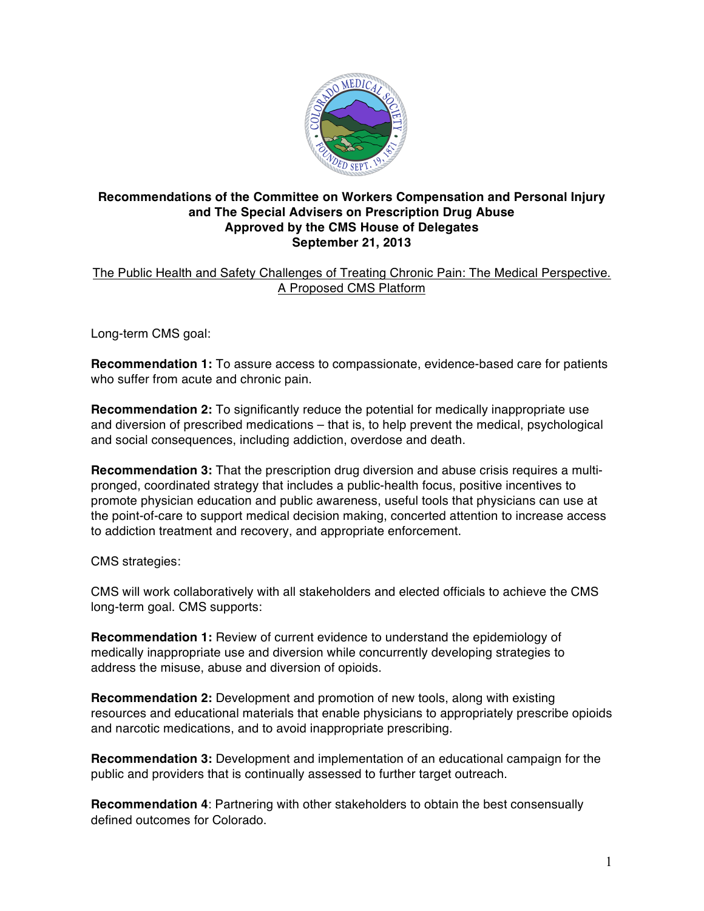

## **Recommendations of the Committee on Workers Compensation and Personal Injury and The Special Advisers on Prescription Drug Abuse Approved by the CMS House of Delegates September 21, 2013**

The Public Health and Safety Challenges of Treating Chronic Pain: The Medical Perspective. A Proposed CMS Platform

Long-term CMS goal:

**Recommendation 1:** To assure access to compassionate, evidence-based care for patients who suffer from acute and chronic pain.

**Recommendation 2:** To significantly reduce the potential for medically inappropriate use and diversion of prescribed medications – that is, to help prevent the medical, psychological and social consequences, including addiction, overdose and death.

**Recommendation 3:** That the prescription drug diversion and abuse crisis requires a multipronged, coordinated strategy that includes a public-health focus, positive incentives to promote physician education and public awareness, useful tools that physicians can use at the point-of-care to support medical decision making, concerted attention to increase access to addiction treatment and recovery, and appropriate enforcement.

CMS strategies:

CMS will work collaboratively with all stakeholders and elected officials to achieve the CMS long-term goal. CMS supports:

**Recommendation 1:** Review of current evidence to understand the epidemiology of medically inappropriate use and diversion while concurrently developing strategies to address the misuse, abuse and diversion of opioids.

**Recommendation 2:** Development and promotion of new tools, along with existing resources and educational materials that enable physicians to appropriately prescribe opioids and narcotic medications, and to avoid inappropriate prescribing.

**Recommendation 3:** Development and implementation of an educational campaign for the public and providers that is continually assessed to further target outreach.

**Recommendation 4**: Partnering with other stakeholders to obtain the best consensually defined outcomes for Colorado.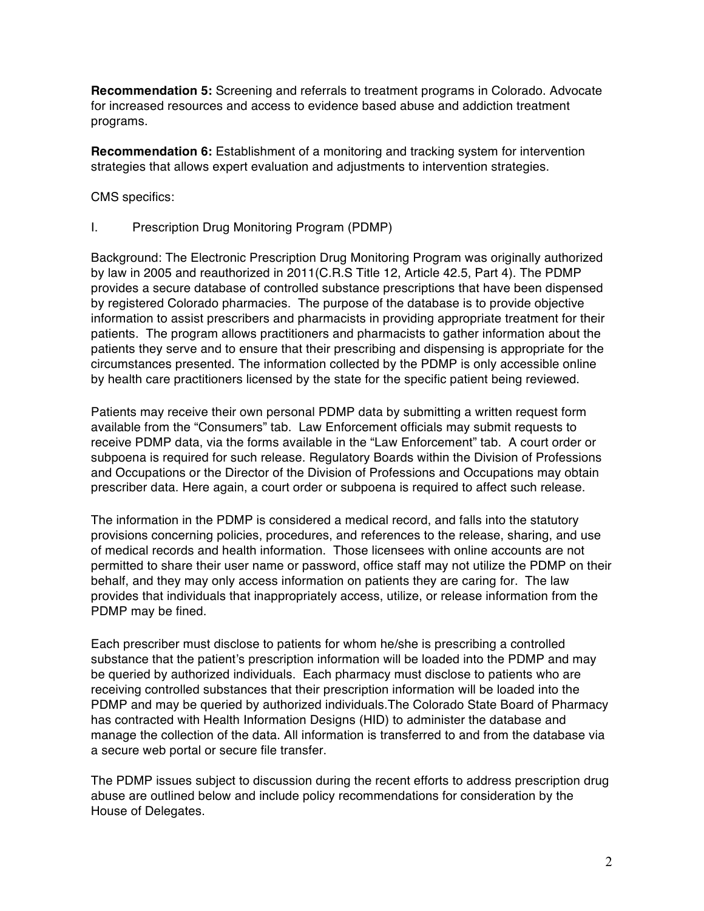**Recommendation 5:** Screening and referrals to treatment programs in Colorado. Advocate for increased resources and access to evidence based abuse and addiction treatment programs.

**Recommendation 6:** Establishment of a monitoring and tracking system for intervention strategies that allows expert evaluation and adjustments to intervention strategies.

CMS specifics:

I. Prescription Drug Monitoring Program (PDMP)

Background: The Electronic Prescription Drug Monitoring Program was originally authorized by law in 2005 and reauthorized in 2011(C.R.S Title 12, Article 42.5, Part 4). The PDMP provides a secure database of controlled substance prescriptions that have been dispensed by registered Colorado pharmacies. The purpose of the database is to provide objective information to assist prescribers and pharmacists in providing appropriate treatment for their patients. The program allows practitioners and pharmacists to gather information about the patients they serve and to ensure that their prescribing and dispensing is appropriate for the circumstances presented. The information collected by the PDMP is only accessible online by health care practitioners licensed by the state for the specific patient being reviewed.

Patients may receive their own personal PDMP data by submitting a written request form available from the "Consumers" tab. Law Enforcement officials may submit requests to receive PDMP data, via the forms available in the "Law Enforcement" tab. A court order or subpoena is required for such release. Regulatory Boards within the Division of Professions and Occupations or the Director of the Division of Professions and Occupations may obtain prescriber data. Here again, a court order or subpoena is required to affect such release.

The information in the PDMP is considered a medical record, and falls into the statutory provisions concerning policies, procedures, and references to the release, sharing, and use of medical records and health information. Those licensees with online accounts are not permitted to share their user name or password, office staff may not utilize the PDMP on their behalf, and they may only access information on patients they are caring for. The law provides that individuals that inappropriately access, utilize, or release information from the PDMP may be fined.

Each prescriber must disclose to patients for whom he/she is prescribing a controlled substance that the patient's prescription information will be loaded into the PDMP and may be queried by authorized individuals. Each pharmacy must disclose to patients who are receiving controlled substances that their prescription information will be loaded into the PDMP and may be queried by authorized individuals.The Colorado State Board of Pharmacy has contracted with Health Information Designs (HID) to administer the database and manage the collection of the data. All information is transferred to and from the database via a secure web portal or secure file transfer.

The PDMP issues subject to discussion during the recent efforts to address prescription drug abuse are outlined below and include policy recommendations for consideration by the House of Delegates.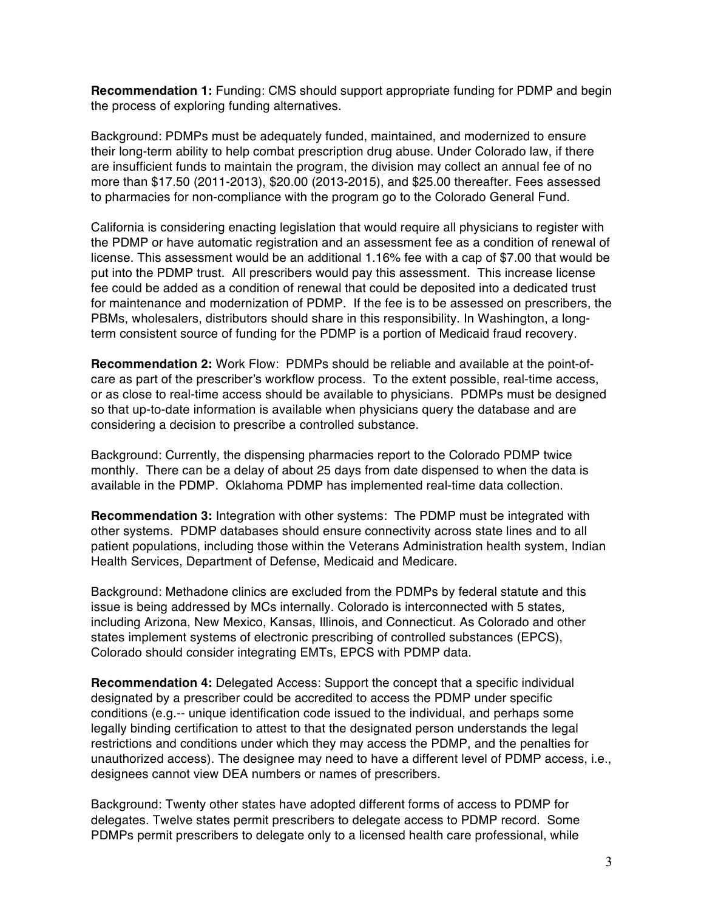**Recommendation 1:** Funding: CMS should support appropriate funding for PDMP and begin the process of exploring funding alternatives.

Background: PDMPs must be adequately funded, maintained, and modernized to ensure their long-term ability to help combat prescription drug abuse. Under Colorado law, if there are insufficient funds to maintain the program, the division may collect an annual fee of no more than \$17.50 (2011-2013), \$20.00 (2013-2015), and \$25.00 thereafter. Fees assessed to pharmacies for non-compliance with the program go to the Colorado General Fund.

California is considering enacting legislation that would require all physicians to register with the PDMP or have automatic registration and an assessment fee as a condition of renewal of license. This assessment would be an additional 1.16% fee with a cap of \$7.00 that would be put into the PDMP trust. All prescribers would pay this assessment. This increase license fee could be added as a condition of renewal that could be deposited into a dedicated trust for maintenance and modernization of PDMP. If the fee is to be assessed on prescribers, the PBMs, wholesalers, distributors should share in this responsibility. In Washington, a longterm consistent source of funding for the PDMP is a portion of Medicaid fraud recovery.

**Recommendation 2:** Work Flow: PDMPs should be reliable and available at the point-ofcare as part of the prescriber's workflow process. To the extent possible, real-time access, or as close to real-time access should be available to physicians. PDMPs must be designed so that up-to-date information is available when physicians query the database and are considering a decision to prescribe a controlled substance.

Background: Currently, the dispensing pharmacies report to the Colorado PDMP twice monthly. There can be a delay of about 25 days from date dispensed to when the data is available in the PDMP. Oklahoma PDMP has implemented real-time data collection.

**Recommendation 3:** Integration with other systems: The PDMP must be integrated with other systems. PDMP databases should ensure connectivity across state lines and to all patient populations, including those within the Veterans Administration health system, Indian Health Services, Department of Defense, Medicaid and Medicare.

Background: Methadone clinics are excluded from the PDMPs by federal statute and this issue is being addressed by MCs internally. Colorado is interconnected with 5 states, including Arizona, New Mexico, Kansas, Illinois, and Connecticut. As Colorado and other states implement systems of electronic prescribing of controlled substances (EPCS), Colorado should consider integrating EMTs, EPCS with PDMP data.

**Recommendation 4:** Delegated Access: Support the concept that a specific individual designated by a prescriber could be accredited to access the PDMP under specific conditions (e.g.-- unique identification code issued to the individual, and perhaps some legally binding certification to attest to that the designated person understands the legal restrictions and conditions under which they may access the PDMP, and the penalties for unauthorized access). The designee may need to have a different level of PDMP access, i.e., designees cannot view DEA numbers or names of prescribers.

Background: Twenty other states have adopted different forms of access to PDMP for delegates. Twelve states permit prescribers to delegate access to PDMP record. Some PDMPs permit prescribers to delegate only to a licensed health care professional, while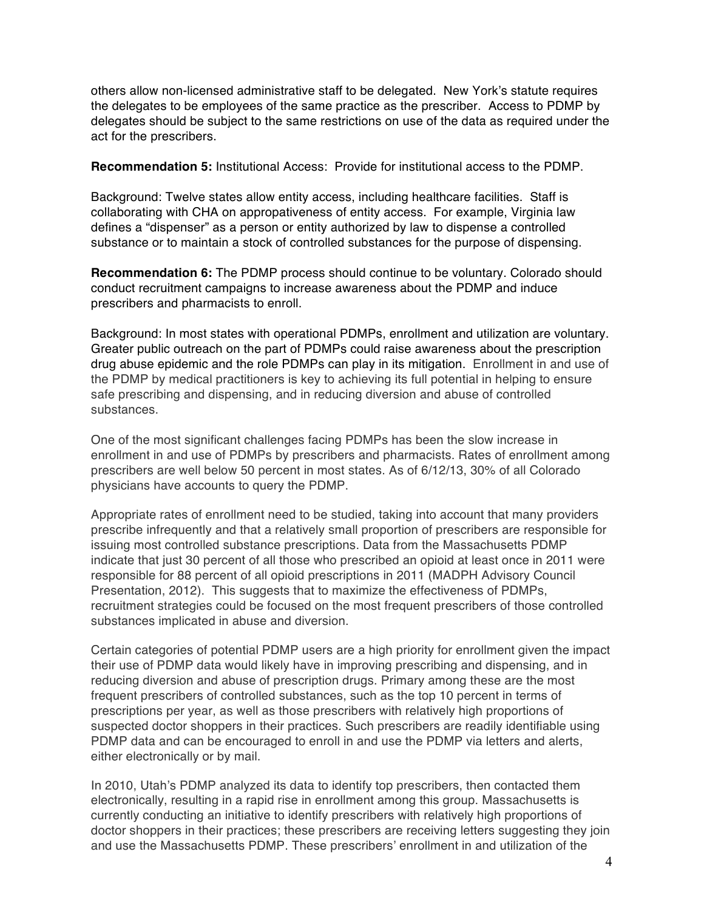others allow non-licensed administrative staff to be delegated. New York's statute requires the delegates to be employees of the same practice as the prescriber. Access to PDMP by delegates should be subject to the same restrictions on use of the data as required under the act for the prescribers.

**Recommendation 5:** Institutional Access: Provide for institutional access to the PDMP.

Background: Twelve states allow entity access, including healthcare facilities. Staff is collaborating with CHA on appropativeness of entity access. For example, Virginia law defines a "dispenser" as a person or entity authorized by law to dispense a controlled substance or to maintain a stock of controlled substances for the purpose of dispensing.

**Recommendation 6:** The PDMP process should continue to be voluntary. Colorado should conduct recruitment campaigns to increase awareness about the PDMP and induce prescribers and pharmacists to enroll.

Background: In most states with operational PDMPs, enrollment and utilization are voluntary. Greater public outreach on the part of PDMPs could raise awareness about the prescription drug abuse epidemic and the role PDMPs can play in its mitigation. Enrollment in and use of the PDMP by medical practitioners is key to achieving its full potential in helping to ensure safe prescribing and dispensing, and in reducing diversion and abuse of controlled substances.

One of the most significant challenges facing PDMPs has been the slow increase in enrollment in and use of PDMPs by prescribers and pharmacists. Rates of enrollment among prescribers are well below 50 percent in most states. As of 6/12/13, 30% of all Colorado physicians have accounts to query the PDMP.

Appropriate rates of enrollment need to be studied, taking into account that many providers prescribe infrequently and that a relatively small proportion of prescribers are responsible for issuing most controlled substance prescriptions. Data from the Massachusetts PDMP indicate that just 30 percent of all those who prescribed an opioid at least once in 2011 were responsible for 88 percent of all opioid prescriptions in 2011 (MADPH Advisory Council Presentation, 2012). This suggests that to maximize the effectiveness of PDMPs, recruitment strategies could be focused on the most frequent prescribers of those controlled substances implicated in abuse and diversion.

Certain categories of potential PDMP users are a high priority for enrollment given the impact their use of PDMP data would likely have in improving prescribing and dispensing, and in reducing diversion and abuse of prescription drugs. Primary among these are the most frequent prescribers of controlled substances, such as the top 10 percent in terms of prescriptions per year, as well as those prescribers with relatively high proportions of suspected doctor shoppers in their practices. Such prescribers are readily identifiable using PDMP data and can be encouraged to enroll in and use the PDMP via letters and alerts, either electronically or by mail.

In 2010, Utah's PDMP analyzed its data to identify top prescribers, then contacted them electronically, resulting in a rapid rise in enrollment among this group. Massachusetts is currently conducting an initiative to identify prescribers with relatively high proportions of doctor shoppers in their practices; these prescribers are receiving letters suggesting they join and use the Massachusetts PDMP. These prescribers' enrollment in and utilization of the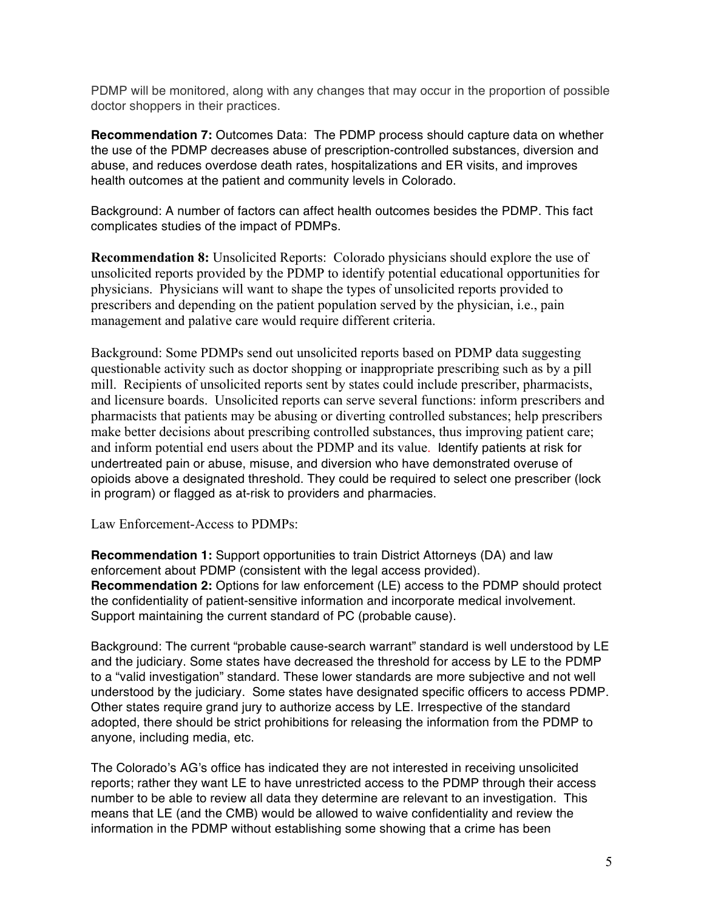PDMP will be monitored, along with any changes that may occur in the proportion of possible doctor shoppers in their practices.

**Recommendation 7:** Outcomes Data: The PDMP process should capture data on whether the use of the PDMP decreases abuse of prescription-controlled substances, diversion and abuse, and reduces overdose death rates, hospitalizations and ER visits, and improves health outcomes at the patient and community levels in Colorado.

Background: A number of factors can affect health outcomes besides the PDMP. This fact complicates studies of the impact of PDMPs.

**Recommendation 8:** Unsolicited Reports: Colorado physicians should explore the use of unsolicited reports provided by the PDMP to identify potential educational opportunities for physicians. Physicians will want to shape the types of unsolicited reports provided to prescribers and depending on the patient population served by the physician, i.e., pain management and palative care would require different criteria.

Background: Some PDMPs send out unsolicited reports based on PDMP data suggesting questionable activity such as doctor shopping or inappropriate prescribing such as by a pill mill. Recipients of unsolicited reports sent by states could include prescriber, pharmacists, and licensure boards. Unsolicited reports can serve several functions: inform prescribers and pharmacists that patients may be abusing or diverting controlled substances; help prescribers make better decisions about prescribing controlled substances, thus improving patient care; and inform potential end users about the PDMP and its value. Identify patients at risk for undertreated pain or abuse, misuse, and diversion who have demonstrated overuse of opioids above a designated threshold. They could be required to select one prescriber (lock in program) or flagged as at-risk to providers and pharmacies.

Law Enforcement-Access to PDMPs:

**Recommendation 1:** Support opportunities to train District Attorneys (DA) and law enforcement about PDMP (consistent with the legal access provided). **Recommendation 2:** Options for law enforcement (LE) access to the PDMP should protect the confidentiality of patient-sensitive information and incorporate medical involvement. Support maintaining the current standard of PC (probable cause).

Background: The current "probable cause-search warrant" standard is well understood by LE and the judiciary. Some states have decreased the threshold for access by LE to the PDMP to a "valid investigation" standard. These lower standards are more subjective and not well understood by the judiciary. Some states have designated specific officers to access PDMP. Other states require grand jury to authorize access by LE. Irrespective of the standard adopted, there should be strict prohibitions for releasing the information from the PDMP to anyone, including media, etc.

The Colorado's AG's office has indicated they are not interested in receiving unsolicited reports; rather they want LE to have unrestricted access to the PDMP through their access number to be able to review all data they determine are relevant to an investigation. This means that LE (and the CMB) would be allowed to waive confidentiality and review the information in the PDMP without establishing some showing that a crime has been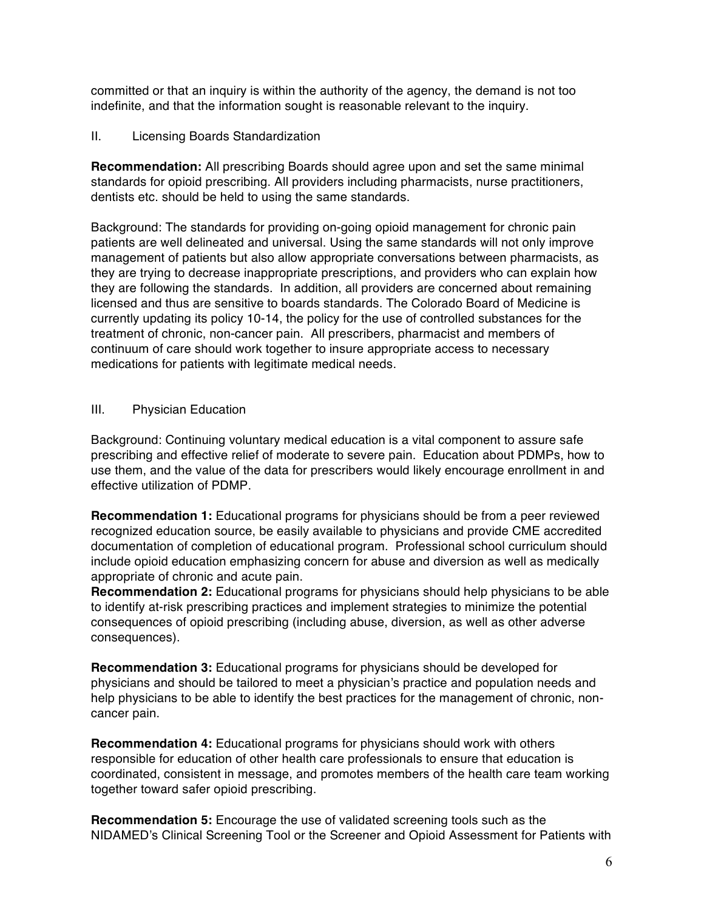committed or that an inquiry is within the authority of the agency, the demand is not too indefinite, and that the information sought is reasonable relevant to the inquiry.

## II. Licensing Boards Standardization

**Recommendation:** All prescribing Boards should agree upon and set the same minimal standards for opioid prescribing. All providers including pharmacists, nurse practitioners, dentists etc. should be held to using the same standards.

Background: The standards for providing on-going opioid management for chronic pain patients are well delineated and universal. Using the same standards will not only improve management of patients but also allow appropriate conversations between pharmacists, as they are trying to decrease inappropriate prescriptions, and providers who can explain how they are following the standards. In addition, all providers are concerned about remaining licensed and thus are sensitive to boards standards. The Colorado Board of Medicine is currently updating its policy 10-14, the policy for the use of controlled substances for the treatment of chronic, non-cancer pain. All prescribers, pharmacist and members of continuum of care should work together to insure appropriate access to necessary medications for patients with legitimate medical needs.

## III. Physician Education

Background: Continuing voluntary medical education is a vital component to assure safe prescribing and effective relief of moderate to severe pain. Education about PDMPs, how to use them, and the value of the data for prescribers would likely encourage enrollment in and effective utilization of PDMP.

**Recommendation 1:** Educational programs for physicians should be from a peer reviewed recognized education source, be easily available to physicians and provide CME accredited documentation of completion of educational program. Professional school curriculum should include opioid education emphasizing concern for abuse and diversion as well as medically appropriate of chronic and acute pain.

**Recommendation 2:** Educational programs for physicians should help physicians to be able to identify at-risk prescribing practices and implement strategies to minimize the potential consequences of opioid prescribing (including abuse, diversion, as well as other adverse consequences).

**Recommendation 3:** Educational programs for physicians should be developed for physicians and should be tailored to meet a physician's practice and population needs and help physicians to be able to identify the best practices for the management of chronic, noncancer pain.

**Recommendation 4:** Educational programs for physicians should work with others responsible for education of other health care professionals to ensure that education is coordinated, consistent in message, and promotes members of the health care team working together toward safer opioid prescribing.

**Recommendation 5:** Encourage the use of validated screening tools such as the NIDAMED's Clinical Screening Tool or the Screener and Opioid Assessment for Patients with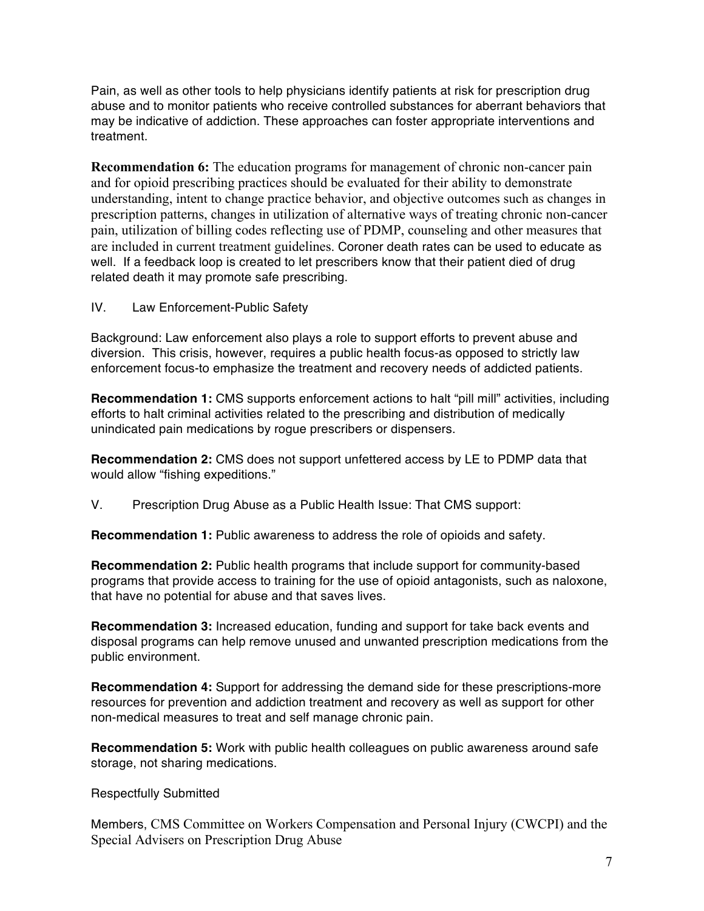Pain, as well as other tools to help physicians identify patients at risk for prescription drug abuse and to monitor patients who receive controlled substances for aberrant behaviors that may be indicative of addiction. These approaches can foster appropriate interventions and treatment.

**Recommendation 6:** The education programs for management of chronic non-cancer pain and for opioid prescribing practices should be evaluated for their ability to demonstrate understanding, intent to change practice behavior, and objective outcomes such as changes in prescription patterns, changes in utilization of alternative ways of treating chronic non-cancer pain, utilization of billing codes reflecting use of PDMP, counseling and other measures that are included in current treatment guidelines. Coroner death rates can be used to educate as well. If a feedback loop is created to let prescribers know that their patient died of drug related death it may promote safe prescribing.

IV. Law Enforcement-Public Safety

Background: Law enforcement also plays a role to support efforts to prevent abuse and diversion. This crisis, however, requires a public health focus-as opposed to strictly law enforcement focus-to emphasize the treatment and recovery needs of addicted patients.

**Recommendation 1:** CMS supports enforcement actions to halt "pill mill" activities, including efforts to halt criminal activities related to the prescribing and distribution of medically unindicated pain medications by rogue prescribers or dispensers.

**Recommendation 2:** CMS does not support unfettered access by LE to PDMP data that would allow "fishing expeditions."

V. Prescription Drug Abuse as a Public Health Issue: That CMS support:

**Recommendation 1:** Public awareness to address the role of opioids and safety.

**Recommendation 2:** Public health programs that include support for community-based programs that provide access to training for the use of opioid antagonists, such as naloxone, that have no potential for abuse and that saves lives.

**Recommendation 3:** Increased education, funding and support for take back events and disposal programs can help remove unused and unwanted prescription medications from the public environment.

**Recommendation 4:** Support for addressing the demand side for these prescriptions-more resources for prevention and addiction treatment and recovery as well as support for other non-medical measures to treat and self manage chronic pain.

**Recommendation 5:** Work with public health colleagues on public awareness around safe storage, not sharing medications.

Respectfully Submitted

Members, CMS Committee on Workers Compensation and Personal Injury (CWCPI) and the Special Advisers on Prescription Drug Abuse